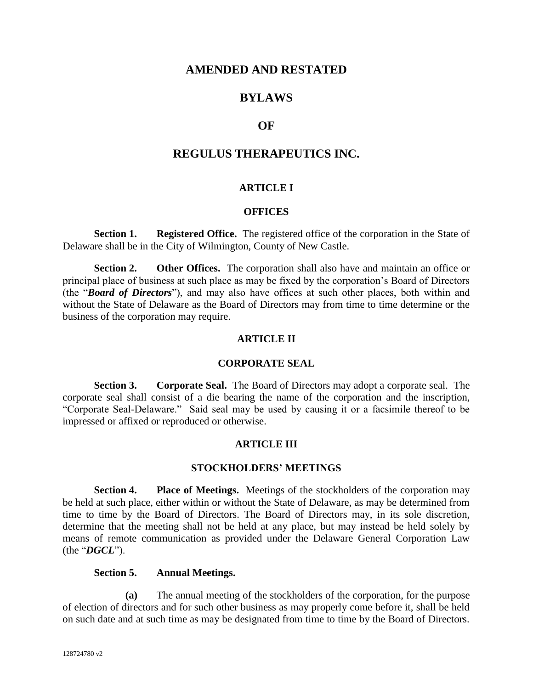# **AMENDED AND RESTATED**

# **BYLAWS**

# **OF**

# **REGULUS THERAPEUTICS INC.**

## **ARTICLE I**

### **OFFICES**

**Section 1. Registered Office.** The registered office of the corporation in the State of Delaware shall be in the City of Wilmington, County of New Castle.

**Section 2. Other Offices.** The corporation shall also have and maintain an office or principal place of business at such place as may be fixed by the corporation's Board of Directors (the "*Board of Directors*"), and may also have offices at such other places, both within and without the State of Delaware as the Board of Directors may from time to time determine or the business of the corporation may require.

### **ARTICLE II**

### **CORPORATE SEAL**

**Section 3. Corporate Seal.** The Board of Directors may adopt a corporate seal. The corporate seal shall consist of a die bearing the name of the corporation and the inscription, "Corporate Seal-Delaware." Said seal may be used by causing it or a facsimile thereof to be impressed or affixed or reproduced or otherwise.

### **ARTICLE III**

### **STOCKHOLDERS' MEETINGS**

**Section 4. Place of Meetings.** Meetings of the stockholders of the corporation may be held at such place, either within or without the State of Delaware, as may be determined from time to time by the Board of Directors. The Board of Directors may, in its sole discretion, determine that the meeting shall not be held at any place, but may instead be held solely by means of remote communication as provided under the Delaware General Corporation Law (the "*DGCL*").

### **Section 5. Annual Meetings.**

**(a)** The annual meeting of the stockholders of the corporation, for the purpose of election of directors and for such other business as may properly come before it, shall be held on such date and at such time as may be designated from time to time by the Board of Directors.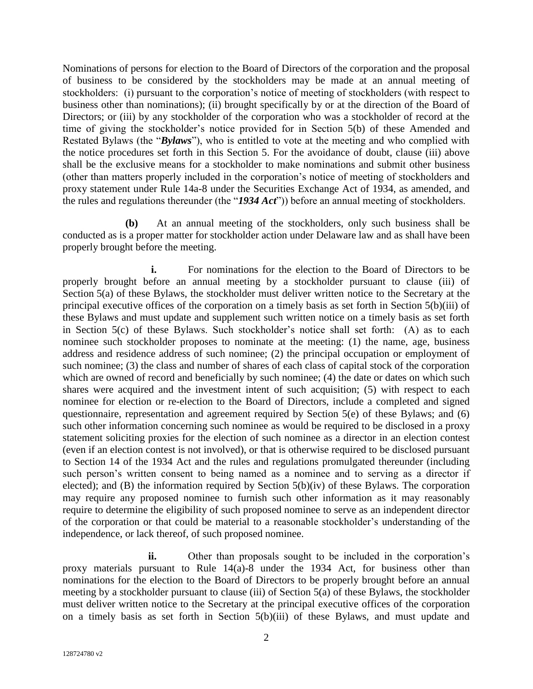Nominations of persons for election to the Board of Directors of the corporation and the proposal of business to be considered by the stockholders may be made at an annual meeting of stockholders: (i) pursuant to the corporation's notice of meeting of stockholders (with respect to business other than nominations); (ii) brought specifically by or at the direction of the Board of Directors; or (iii) by any stockholder of the corporation who was a stockholder of record at the time of giving the stockholder's notice provided for in Section 5(b) of these Amended and Restated Bylaws (the "*Bylaws*"), who is entitled to vote at the meeting and who complied with the notice procedures set forth in this Section 5. For the avoidance of doubt, clause (iii) above shall be the exclusive means for a stockholder to make nominations and submit other business (other than matters properly included in the corporation's notice of meeting of stockholders and proxy statement under Rule 14a-8 under the Securities Exchange Act of 1934, as amended, and the rules and regulations thereunder (the "*1934 Act*")) before an annual meeting of stockholders.

**(b)** At an annual meeting of the stockholders, only such business shall be conducted as is a proper matter for stockholder action under Delaware law and as shall have been properly brought before the meeting.

**i.** For nominations for the election to the Board of Directors to be properly brought before an annual meeting by a stockholder pursuant to clause (iii) of Section 5(a) of these Bylaws, the stockholder must deliver written notice to the Secretary at the principal executive offices of the corporation on a timely basis as set forth in Section 5(b)(iii) of these Bylaws and must update and supplement such written notice on a timely basis as set forth in Section 5(c) of these Bylaws. Such stockholder's notice shall set forth: (A) as to each nominee such stockholder proposes to nominate at the meeting: (1) the name, age, business address and residence address of such nominee; (2) the principal occupation or employment of such nominee; (3) the class and number of shares of each class of capital stock of the corporation which are owned of record and beneficially by such nominee; (4) the date or dates on which such shares were acquired and the investment intent of such acquisition; (5) with respect to each nominee for election or re-election to the Board of Directors, include a completed and signed questionnaire, representation and agreement required by Section 5(e) of these Bylaws; and (6) such other information concerning such nominee as would be required to be disclosed in a proxy statement soliciting proxies for the election of such nominee as a director in an election contest (even if an election contest is not involved), or that is otherwise required to be disclosed pursuant to Section 14 of the 1934 Act and the rules and regulations promulgated thereunder (including such person's written consent to being named as a nominee and to serving as a director if elected); and (B) the information required by Section 5(b)(iv) of these Bylaws. The corporation may require any proposed nominee to furnish such other information as it may reasonably require to determine the eligibility of such proposed nominee to serve as an independent director of the corporation or that could be material to a reasonable stockholder's understanding of the independence, or lack thereof, of such proposed nominee.

**ii.** Other than proposals sought to be included in the corporation's proxy materials pursuant to Rule 14(a)-8 under the 1934 Act, for business other than nominations for the election to the Board of Directors to be properly brought before an annual meeting by a stockholder pursuant to clause (iii) of Section 5(a) of these Bylaws, the stockholder must deliver written notice to the Secretary at the principal executive offices of the corporation on a timely basis as set forth in Section 5(b)(iii) of these Bylaws, and must update and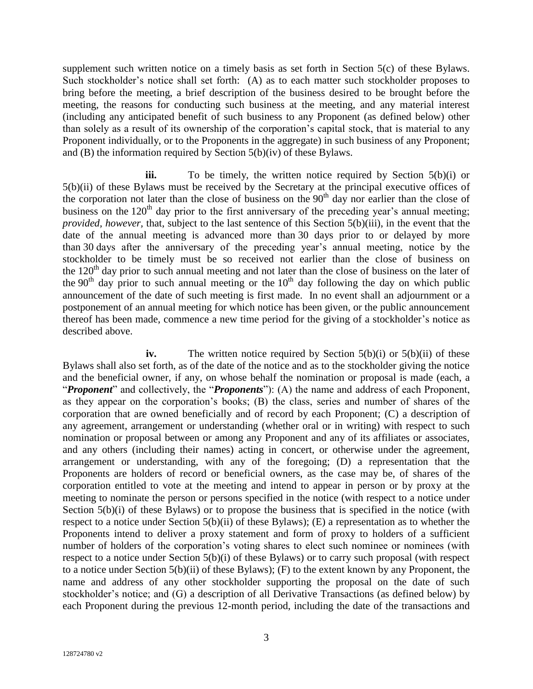supplement such written notice on a timely basis as set forth in Section 5(c) of these Bylaws. Such stockholder's notice shall set forth: (A) as to each matter such stockholder proposes to bring before the meeting, a brief description of the business desired to be brought before the meeting, the reasons for conducting such business at the meeting, and any material interest (including any anticipated benefit of such business to any Proponent (as defined below) other than solely as a result of its ownership of the corporation's capital stock, that is material to any Proponent individually, or to the Proponents in the aggregate) in such business of any Proponent; and (B) the information required by Section 5(b)(iv) of these Bylaws.

**iii.** To be timely, the written notice required by Section 5(b)(i) or 5(b)(ii) of these Bylaws must be received by the Secretary at the principal executive offices of the corporation not later than the close of business on the  $90<sup>th</sup>$  day nor earlier than the close of business on the  $120<sup>th</sup>$  day prior to the first anniversary of the preceding year's annual meeting; *provided, however,* that, subject to the last sentence of this Section 5(b)(iii), in the event that the date of the annual meeting is advanced more than 30 days prior to or delayed by more than 30 days after the anniversary of the preceding year's annual meeting, notice by the stockholder to be timely must be so received not earlier than the close of business on the 120<sup>th</sup> day prior to such annual meeting and not later than the close of business on the later of the 90<sup>th</sup> day prior to such annual meeting or the  $10<sup>th</sup>$  day following the day on which public announcement of the date of such meeting is first made. In no event shall an adjournment or a postponement of an annual meeting for which notice has been given, or the public announcement thereof has been made, commence a new time period for the giving of a stockholder's notice as described above.

**iv.** The written notice required by Section 5(b)(i) or 5(b)(ii) of these Bylaws shall also set forth, as of the date of the notice and as to the stockholder giving the notice and the beneficial owner, if any, on whose behalf the nomination or proposal is made (each, a "*Proponent*" and collectively, the "*Proponents*"): (A) the name and address of each Proponent, as they appear on the corporation's books; (B) the class, series and number of shares of the corporation that are owned beneficially and of record by each Proponent; (C) a description of any agreement, arrangement or understanding (whether oral or in writing) with respect to such nomination or proposal between or among any Proponent and any of its affiliates or associates, and any others (including their names) acting in concert, or otherwise under the agreement, arrangement or understanding, with any of the foregoing; (D) a representation that the Proponents are holders of record or beneficial owners, as the case may be, of shares of the corporation entitled to vote at the meeting and intend to appear in person or by proxy at the meeting to nominate the person or persons specified in the notice (with respect to a notice under Section 5(b)(i) of these Bylaws) or to propose the business that is specified in the notice (with respect to a notice under Section 5(b)(ii) of these Bylaws); (E) a representation as to whether the Proponents intend to deliver a proxy statement and form of proxy to holders of a sufficient number of holders of the corporation's voting shares to elect such nominee or nominees (with respect to a notice under Section 5(b)(i) of these Bylaws) or to carry such proposal (with respect to a notice under Section 5(b)(ii) of these Bylaws); (F) to the extent known by any Proponent, the name and address of any other stockholder supporting the proposal on the date of such stockholder's notice; and (G) a description of all Derivative Transactions (as defined below) by each Proponent during the previous 12-month period, including the date of the transactions and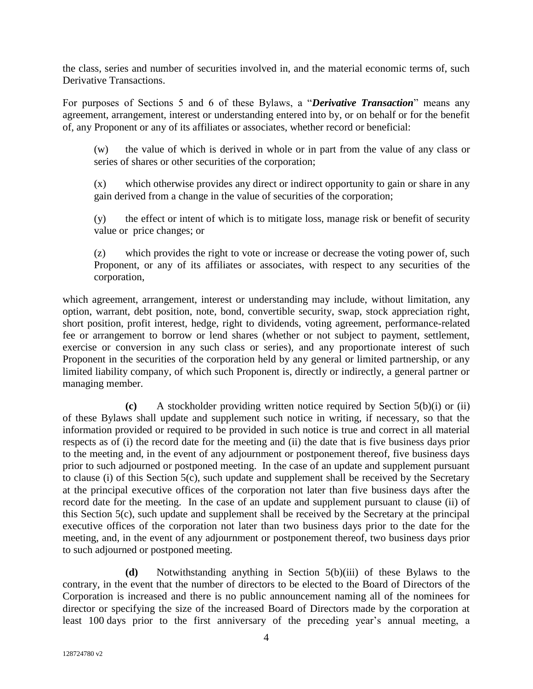the class, series and number of securities involved in, and the material economic terms of, such Derivative Transactions.

For purposes of Sections 5 and 6 of these Bylaws, a "*Derivative Transaction*" means any agreement, arrangement, interest or understanding entered into by, or on behalf or for the benefit of, any Proponent or any of its affiliates or associates, whether record or beneficial:

(w) the value of which is derived in whole or in part from the value of any class or series of shares or other securities of the corporation;

(x) which otherwise provides any direct or indirect opportunity to gain or share in any gain derived from a change in the value of securities of the corporation;

(y) the effect or intent of which is to mitigate loss, manage risk or benefit of security value or price changes; or

(z) which provides the right to vote or increase or decrease the voting power of, such Proponent, or any of its affiliates or associates, with respect to any securities of the corporation,

which agreement, arrangement, interest or understanding may include, without limitation, any option, warrant, debt position, note, bond, convertible security, swap, stock appreciation right, short position, profit interest, hedge, right to dividends, voting agreement, performance-related fee or arrangement to borrow or lend shares (whether or not subject to payment, settlement, exercise or conversion in any such class or series), and any proportionate interest of such Proponent in the securities of the corporation held by any general or limited partnership, or any limited liability company, of which such Proponent is, directly or indirectly, a general partner or managing member.

**(c)** A stockholder providing written notice required by Section 5(b)(i) or (ii) of these Bylaws shall update and supplement such notice in writing, if necessary, so that the information provided or required to be provided in such notice is true and correct in all material respects as of (i) the record date for the meeting and (ii) the date that is five business days prior to the meeting and, in the event of any adjournment or postponement thereof, five business days prior to such adjourned or postponed meeting. In the case of an update and supplement pursuant to clause (i) of this Section 5(c), such update and supplement shall be received by the Secretary at the principal executive offices of the corporation not later than five business days after the record date for the meeting. In the case of an update and supplement pursuant to clause (ii) of this Section 5(c), such update and supplement shall be received by the Secretary at the principal executive offices of the corporation not later than two business days prior to the date for the meeting, and, in the event of any adjournment or postponement thereof, two business days prior to such adjourned or postponed meeting.

**(d)** Notwithstanding anything in Section 5(b)(iii) of these Bylaws to the contrary, in the event that the number of directors to be elected to the Board of Directors of the Corporation is increased and there is no public announcement naming all of the nominees for director or specifying the size of the increased Board of Directors made by the corporation at least 100 days prior to the first anniversary of the preceding year's annual meeting, a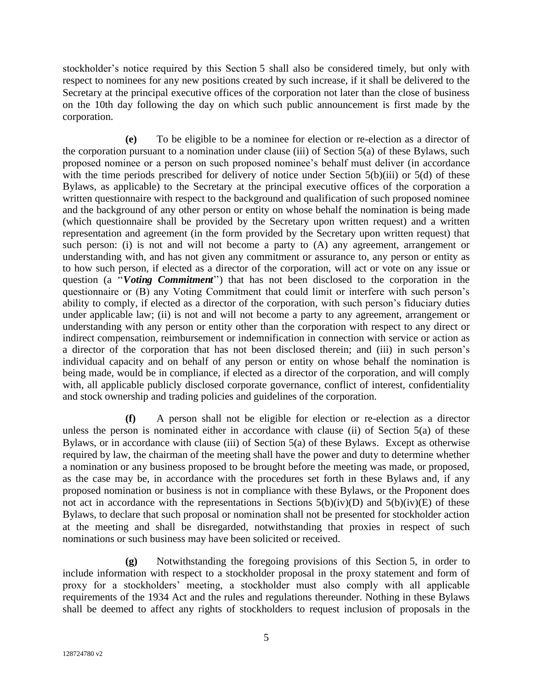stockholder's notice required by this Section 5 shall also be considered timely, but only with respect to nominees for any new positions created by such increase, if it shall be delivered to the Secretary at the principal executive offices of the corporation not later than the close of business on the 10th day following the day on which such public announcement is first made by the corporation.

**(e)** To be eligible to be a nominee for election or re-election as a director of the corporation pursuant to a nomination under clause (iii) of Section 5(a) of these Bylaws, such proposed nominee or a person on such proposed nominee's behalf must deliver (in accordance with the time periods prescribed for delivery of notice under Section 5(b)(iii) or 5(d) of these Bylaws, as applicable) to the Secretary at the principal executive offices of the corporation a written questionnaire with respect to the background and qualification of such proposed nominee and the background of any other person or entity on whose behalf the nomination is being made (which questionnaire shall be provided by the Secretary upon written request) and a written representation and agreement (in the form provided by the Secretary upon written request) that such person: (i) is not and will not become a party to (A) any agreement, arrangement or understanding with, and has not given any commitment or assurance to, any person or entity as to how such person, if elected as a director of the corporation, will act or vote on any issue or question (a ''*Voting Commitment*'') that has not been disclosed to the corporation in the questionnaire or (B) any Voting Commitment that could limit or interfere with such person's ability to comply, if elected as a director of the corporation, with such person's fiduciary duties under applicable law; (ii) is not and will not become a party to any agreement, arrangement or understanding with any person or entity other than the corporation with respect to any direct or indirect compensation, reimbursement or indemnification in connection with service or action as a director of the corporation that has not been disclosed therein; and (iii) in such person's individual capacity and on behalf of any person or entity on whose behalf the nomination is being made, would be in compliance, if elected as a director of the corporation, and will comply with, all applicable publicly disclosed corporate governance, conflict of interest, confidentiality and stock ownership and trading policies and guidelines of the corporation.

**(f)** A person shall not be eligible for election or re-election as a director unless the person is nominated either in accordance with clause (ii) of Section 5(a) of these Bylaws, or in accordance with clause (iii) of Section 5(a) of these Bylaws. Except as otherwise required by law, the chairman of the meeting shall have the power and duty to determine whether a nomination or any business proposed to be brought before the meeting was made, or proposed, as the case may be, in accordance with the procedures set forth in these Bylaws and, if any proposed nomination or business is not in compliance with these Bylaws, or the Proponent does not act in accordance with the representations in Sections  $5(b)(iv)(D)$  and  $5(b)(iv)(E)$  of these Bylaws, to declare that such proposal or nomination shall not be presented for stockholder action at the meeting and shall be disregarded, notwithstanding that proxies in respect of such nominations or such business may have been solicited or received.

**(g)** Notwithstanding the foregoing provisions of this Section 5, in order to include information with respect to a stockholder proposal in the proxy statement and form of proxy for a stockholders' meeting, a stockholder must also comply with all applicable requirements of the 1934 Act and the rules and regulations thereunder. Nothing in these Bylaws shall be deemed to affect any rights of stockholders to request inclusion of proposals in the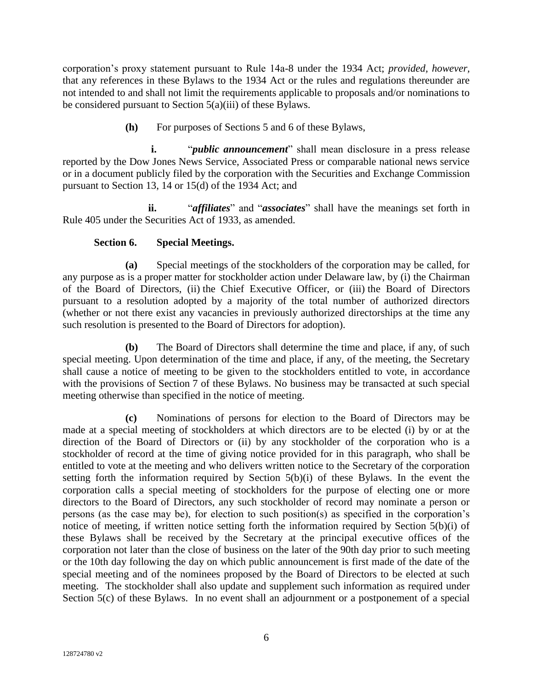corporation's proxy statement pursuant to Rule 14a-8 under the 1934 Act; *provided, however,* that any references in these Bylaws to the 1934 Act or the rules and regulations thereunder are not intended to and shall not limit the requirements applicable to proposals and/or nominations to be considered pursuant to Section 5(a)(iii) of these Bylaws.

**(h)** For purposes of Sections 5 and 6 of these Bylaws,

**i.** "*public announcement*" shall mean disclosure in a press release reported by the Dow Jones News Service, Associated Press or comparable national news service or in a document publicly filed by the corporation with the Securities and Exchange Commission pursuant to Section 13, 14 or 15(d) of the 1934 Act; and

**ii.** "*affiliates*" and "*associates*" shall have the meanings set forth in Rule 405 under the Securities Act of 1933, as amended.

# **Section 6. Special Meetings.**

**(a)** Special meetings of the stockholders of the corporation may be called, for any purpose as is a proper matter for stockholder action under Delaware law, by (i) the Chairman of the Board of Directors, (ii) the Chief Executive Officer, or (iii) the Board of Directors pursuant to a resolution adopted by a majority of the total number of authorized directors (whether or not there exist any vacancies in previously authorized directorships at the time any such resolution is presented to the Board of Directors for adoption).

**(b)** The Board of Directors shall determine the time and place, if any, of such special meeting. Upon determination of the time and place, if any, of the meeting, the Secretary shall cause a notice of meeting to be given to the stockholders entitled to vote, in accordance with the provisions of Section 7 of these Bylaws. No business may be transacted at such special meeting otherwise than specified in the notice of meeting.

**(c)** Nominations of persons for election to the Board of Directors may be made at a special meeting of stockholders at which directors are to be elected (i) by or at the direction of the Board of Directors or (ii) by any stockholder of the corporation who is a stockholder of record at the time of giving notice provided for in this paragraph, who shall be entitled to vote at the meeting and who delivers written notice to the Secretary of the corporation setting forth the information required by Section 5(b)(i) of these Bylaws. In the event the corporation calls a special meeting of stockholders for the purpose of electing one or more directors to the Board of Directors, any such stockholder of record may nominate a person or persons (as the case may be), for election to such position(s) as specified in the corporation's notice of meeting, if written notice setting forth the information required by Section 5(b)(i) of these Bylaws shall be received by the Secretary at the principal executive offices of the corporation not later than the close of business on the later of the 90th day prior to such meeting or the 10th day following the day on which public announcement is first made of the date of the special meeting and of the nominees proposed by the Board of Directors to be elected at such meeting. The stockholder shall also update and supplement such information as required under Section 5(c) of these Bylaws. In no event shall an adjournment or a postponement of a special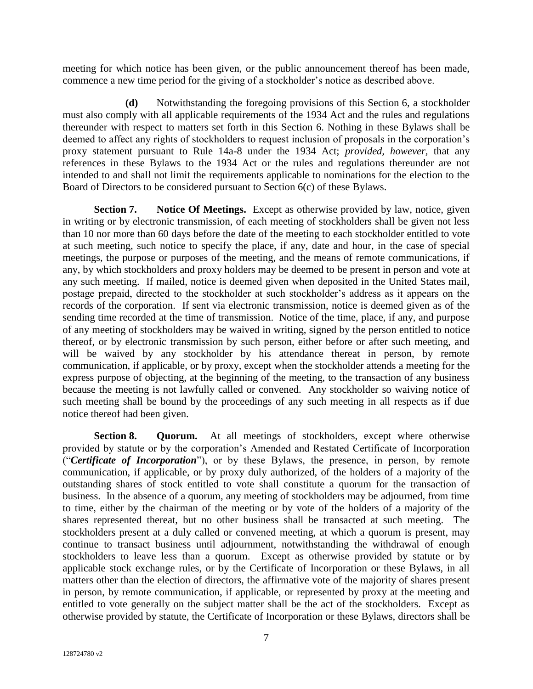meeting for which notice has been given, or the public announcement thereof has been made, commence a new time period for the giving of a stockholder's notice as described above.

**(d)** Notwithstanding the foregoing provisions of this Section 6, a stockholder must also comply with all applicable requirements of the 1934 Act and the rules and regulations thereunder with respect to matters set forth in this Section 6. Nothing in these Bylaws shall be deemed to affect any rights of stockholders to request inclusion of proposals in the corporation's proxy statement pursuant to Rule 14a-8 under the 1934 Act; *provided, however,* that any references in these Bylaws to the 1934 Act or the rules and regulations thereunder are not intended to and shall not limit the requirements applicable to nominations for the election to the Board of Directors to be considered pursuant to Section 6(c) of these Bylaws.

**Section 7. Notice Of Meetings.** Except as otherwise provided by law, notice, given in writing or by electronic transmission, of each meeting of stockholders shall be given not less than 10 nor more than 60 days before the date of the meeting to each stockholder entitled to vote at such meeting, such notice to specify the place, if any, date and hour, in the case of special meetings, the purpose or purposes of the meeting, and the means of remote communications, if any, by which stockholders and proxy holders may be deemed to be present in person and vote at any such meeting. If mailed, notice is deemed given when deposited in the United States mail, postage prepaid, directed to the stockholder at such stockholder's address as it appears on the records of the corporation. If sent via electronic transmission, notice is deemed given as of the sending time recorded at the time of transmission. Notice of the time, place, if any, and purpose of any meeting of stockholders may be waived in writing, signed by the person entitled to notice thereof, or by electronic transmission by such person, either before or after such meeting, and will be waived by any stockholder by his attendance thereat in person, by remote communication, if applicable, or by proxy, except when the stockholder attends a meeting for the express purpose of objecting, at the beginning of the meeting, to the transaction of any business because the meeting is not lawfully called or convened. Any stockholder so waiving notice of such meeting shall be bound by the proceedings of any such meeting in all respects as if due notice thereof had been given.

**Section 8. Quorum.** At all meetings of stockholders, except where otherwise provided by statute or by the corporation's Amended and Restated Certificate of Incorporation ("*Certificate of Incorporation*"), or by these Bylaws, the presence, in person, by remote communication, if applicable, or by proxy duly authorized, of the holders of a majority of the outstanding shares of stock entitled to vote shall constitute a quorum for the transaction of business. In the absence of a quorum, any meeting of stockholders may be adjourned, from time to time, either by the chairman of the meeting or by vote of the holders of a majority of the shares represented thereat, but no other business shall be transacted at such meeting. The stockholders present at a duly called or convened meeting, at which a quorum is present, may continue to transact business until adjournment, notwithstanding the withdrawal of enough stockholders to leave less than a quorum. Except as otherwise provided by statute or by applicable stock exchange rules, or by the Certificate of Incorporation or these Bylaws, in all matters other than the election of directors, the affirmative vote of the majority of shares present in person, by remote communication, if applicable, or represented by proxy at the meeting and entitled to vote generally on the subject matter shall be the act of the stockholders. Except as otherwise provided by statute, the Certificate of Incorporation or these Bylaws, directors shall be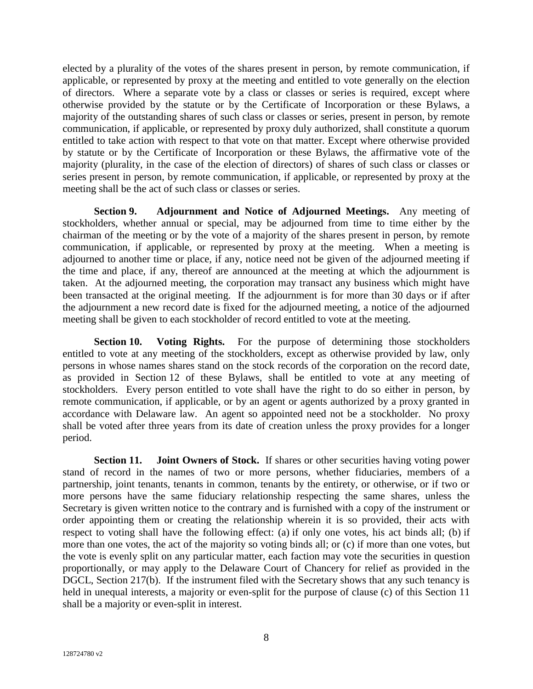elected by a plurality of the votes of the shares present in person, by remote communication, if applicable, or represented by proxy at the meeting and entitled to vote generally on the election of directors. Where a separate vote by a class or classes or series is required, except where otherwise provided by the statute or by the Certificate of Incorporation or these Bylaws, a majority of the outstanding shares of such class or classes or series, present in person, by remote communication, if applicable, or represented by proxy duly authorized, shall constitute a quorum entitled to take action with respect to that vote on that matter. Except where otherwise provided by statute or by the Certificate of Incorporation or these Bylaws, the affirmative vote of the majority (plurality, in the case of the election of directors) of shares of such class or classes or series present in person, by remote communication, if applicable, or represented by proxy at the meeting shall be the act of such class or classes or series.

**Section 9. Adjournment and Notice of Adjourned Meetings.** Any meeting of stockholders, whether annual or special, may be adjourned from time to time either by the chairman of the meeting or by the vote of a majority of the shares present in person, by remote communication, if applicable, or represented by proxy at the meeting. When a meeting is adjourned to another time or place, if any, notice need not be given of the adjourned meeting if the time and place, if any, thereof are announced at the meeting at which the adjournment is taken. At the adjourned meeting, the corporation may transact any business which might have been transacted at the original meeting. If the adjournment is for more than 30 days or if after the adjournment a new record date is fixed for the adjourned meeting, a notice of the adjourned meeting shall be given to each stockholder of record entitled to vote at the meeting.

**Section 10. Voting Rights.** For the purpose of determining those stockholders entitled to vote at any meeting of the stockholders, except as otherwise provided by law, only persons in whose names shares stand on the stock records of the corporation on the record date, as provided in Section 12 of these Bylaws, shall be entitled to vote at any meeting of stockholders. Every person entitled to vote shall have the right to do so either in person, by remote communication, if applicable, or by an agent or agents authorized by a proxy granted in accordance with Delaware law. An agent so appointed need not be a stockholder. No proxy shall be voted after three years from its date of creation unless the proxy provides for a longer period.

**Section 11. Joint Owners of Stock.** If shares or other securities having voting power stand of record in the names of two or more persons, whether fiduciaries, members of a partnership, joint tenants, tenants in common, tenants by the entirety, or otherwise, or if two or more persons have the same fiduciary relationship respecting the same shares, unless the Secretary is given written notice to the contrary and is furnished with a copy of the instrument or order appointing them or creating the relationship wherein it is so provided, their acts with respect to voting shall have the following effect: (a) if only one votes, his act binds all; (b) if more than one votes, the act of the majority so voting binds all; or (c) if more than one votes, but the vote is evenly split on any particular matter, each faction may vote the securities in question proportionally, or may apply to the Delaware Court of Chancery for relief as provided in the DGCL, Section 217(b). If the instrument filed with the Secretary shows that any such tenancy is held in unequal interests, a majority or even-split for the purpose of clause (c) of this Section 11 shall be a majority or even-split in interest.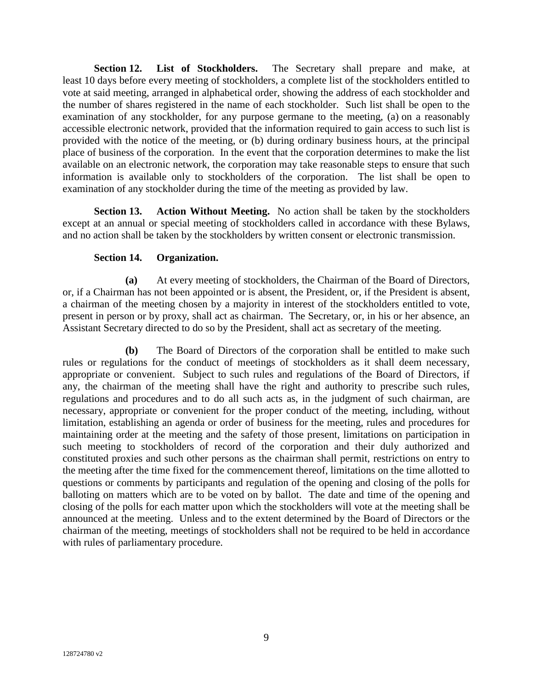**Section 12. List of Stockholders.** The Secretary shall prepare and make, at least 10 days before every meeting of stockholders, a complete list of the stockholders entitled to vote at said meeting, arranged in alphabetical order, showing the address of each stockholder and the number of shares registered in the name of each stockholder. Such list shall be open to the examination of any stockholder, for any purpose germane to the meeting, (a) on a reasonably accessible electronic network, provided that the information required to gain access to such list is provided with the notice of the meeting, or (b) during ordinary business hours, at the principal place of business of the corporation. In the event that the corporation determines to make the list available on an electronic network, the corporation may take reasonable steps to ensure that such information is available only to stockholders of the corporation. The list shall be open to examination of any stockholder during the time of the meeting as provided by law.

**Section 13. Action Without Meeting.** No action shall be taken by the stockholders except at an annual or special meeting of stockholders called in accordance with these Bylaws, and no action shall be taken by the stockholders by written consent or electronic transmission.

### **Section 14. Organization.**

**(a)** At every meeting of stockholders, the Chairman of the Board of Directors, or, if a Chairman has not been appointed or is absent, the President, or, if the President is absent, a chairman of the meeting chosen by a majority in interest of the stockholders entitled to vote, present in person or by proxy, shall act as chairman. The Secretary, or, in his or her absence, an Assistant Secretary directed to do so by the President, shall act as secretary of the meeting.

**(b)** The Board of Directors of the corporation shall be entitled to make such rules or regulations for the conduct of meetings of stockholders as it shall deem necessary, appropriate or convenient. Subject to such rules and regulations of the Board of Directors, if any, the chairman of the meeting shall have the right and authority to prescribe such rules, regulations and procedures and to do all such acts as, in the judgment of such chairman, are necessary, appropriate or convenient for the proper conduct of the meeting, including, without limitation, establishing an agenda or order of business for the meeting, rules and procedures for maintaining order at the meeting and the safety of those present, limitations on participation in such meeting to stockholders of record of the corporation and their duly authorized and constituted proxies and such other persons as the chairman shall permit, restrictions on entry to the meeting after the time fixed for the commencement thereof, limitations on the time allotted to questions or comments by participants and regulation of the opening and closing of the polls for balloting on matters which are to be voted on by ballot. The date and time of the opening and closing of the polls for each matter upon which the stockholders will vote at the meeting shall be announced at the meeting. Unless and to the extent determined by the Board of Directors or the chairman of the meeting, meetings of stockholders shall not be required to be held in accordance with rules of parliamentary procedure.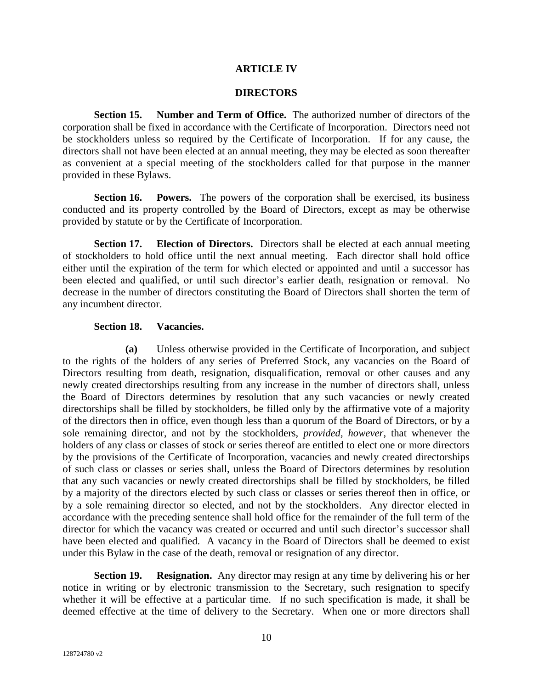### **ARTICLE IV**

#### **DIRECTORS**

**Section 15. Number and Term of Office.** The authorized number of directors of the corporation shall be fixed in accordance with the Certificate of Incorporation. Directors need not be stockholders unless so required by the Certificate of Incorporation. If for any cause, the directors shall not have been elected at an annual meeting, they may be elected as soon thereafter as convenient at a special meeting of the stockholders called for that purpose in the manner provided in these Bylaws.

**Section 16. Powers.** The powers of the corporation shall be exercised, its business conducted and its property controlled by the Board of Directors, except as may be otherwise provided by statute or by the Certificate of Incorporation.

**Section 17. Election of Directors.** Directors shall be elected at each annual meeting of stockholders to hold office until the next annual meeting. Each director shall hold office either until the expiration of the term for which elected or appointed and until a successor has been elected and qualified, or until such director's earlier death, resignation or removal. No decrease in the number of directors constituting the Board of Directors shall shorten the term of any incumbent director.

#### **Section 18. Vacancies.**

**(a)** Unless otherwise provided in the Certificate of Incorporation, and subject to the rights of the holders of any series of Preferred Stock, any vacancies on the Board of Directors resulting from death, resignation, disqualification, removal or other causes and any newly created directorships resulting from any increase in the number of directors shall, unless the Board of Directors determines by resolution that any such vacancies or newly created directorships shall be filled by stockholders, be filled only by the affirmative vote of a majority of the directors then in office, even though less than a quorum of the Board of Directors, or by a sole remaining director, and not by the stockholders, *provided, however*, that whenever the holders of any class or classes of stock or series thereof are entitled to elect one or more directors by the provisions of the Certificate of Incorporation, vacancies and newly created directorships of such class or classes or series shall, unless the Board of Directors determines by resolution that any such vacancies or newly created directorships shall be filled by stockholders, be filled by a majority of the directors elected by such class or classes or series thereof then in office, or by a sole remaining director so elected, and not by the stockholders. Any director elected in accordance with the preceding sentence shall hold office for the remainder of the full term of the director for which the vacancy was created or occurred and until such director's successor shall have been elected and qualified. A vacancy in the Board of Directors shall be deemed to exist under this Bylaw in the case of the death, removal or resignation of any director.

**Section 19. Resignation.** Any director may resign at any time by delivering his or her notice in writing or by electronic transmission to the Secretary, such resignation to specify whether it will be effective at a particular time. If no such specification is made, it shall be deemed effective at the time of delivery to the Secretary. When one or more directors shall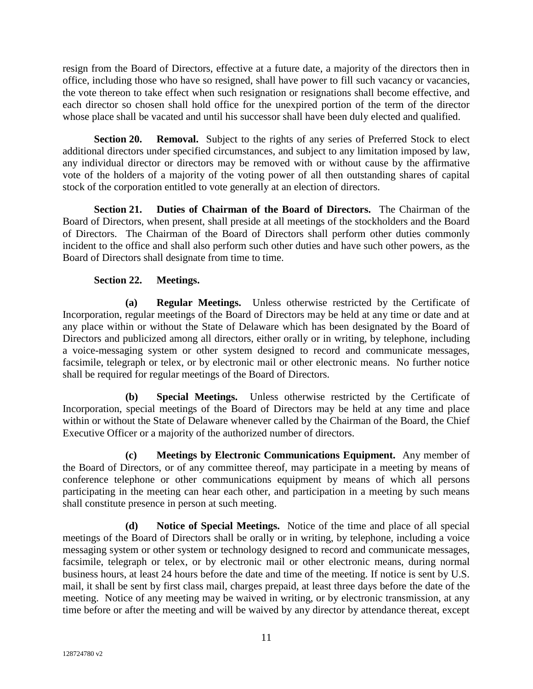resign from the Board of Directors, effective at a future date, a majority of the directors then in office, including those who have so resigned, shall have power to fill such vacancy or vacancies, the vote thereon to take effect when such resignation or resignations shall become effective, and each director so chosen shall hold office for the unexpired portion of the term of the director whose place shall be vacated and until his successor shall have been duly elected and qualified.

**Section 20. Removal.** Subject to the rights of any series of Preferred Stock to elect additional directors under specified circumstances, and subject to any limitation imposed by law, any individual director or directors may be removed with or without cause by the affirmative vote of the holders of a majority of the voting power of all then outstanding shares of capital stock of the corporation entitled to vote generally at an election of directors.

**Section 21. Duties of Chairman of the Board of Directors.** The Chairman of the Board of Directors, when present, shall preside at all meetings of the stockholders and the Board of Directors. The Chairman of the Board of Directors shall perform other duties commonly incident to the office and shall also perform such other duties and have such other powers, as the Board of Directors shall designate from time to time.

# **Section 22. Meetings.**

**(a) Regular Meetings.** Unless otherwise restricted by the Certificate of Incorporation, regular meetings of the Board of Directors may be held at any time or date and at any place within or without the State of Delaware which has been designated by the Board of Directors and publicized among all directors, either orally or in writing, by telephone, including a voice-messaging system or other system designed to record and communicate messages, facsimile, telegraph or telex, or by electronic mail or other electronic means. No further notice shall be required for regular meetings of the Board of Directors.

**(b) Special Meetings.** Unless otherwise restricted by the Certificate of Incorporation, special meetings of the Board of Directors may be held at any time and place within or without the State of Delaware whenever called by the Chairman of the Board, the Chief Executive Officer or a majority of the authorized number of directors.

**(c) Meetings by Electronic Communications Equipment.** Any member of the Board of Directors, or of any committee thereof, may participate in a meeting by means of conference telephone or other communications equipment by means of which all persons participating in the meeting can hear each other, and participation in a meeting by such means shall constitute presence in person at such meeting.

**(d) Notice of Special Meetings.** Notice of the time and place of all special meetings of the Board of Directors shall be orally or in writing, by telephone, including a voice messaging system or other system or technology designed to record and communicate messages, facsimile, telegraph or telex, or by electronic mail or other electronic means, during normal business hours, at least 24 hours before the date and time of the meeting. If notice is sent by U.S. mail, it shall be sent by first class mail, charges prepaid, at least three days before the date of the meeting. Notice of any meeting may be waived in writing, or by electronic transmission, at any time before or after the meeting and will be waived by any director by attendance thereat, except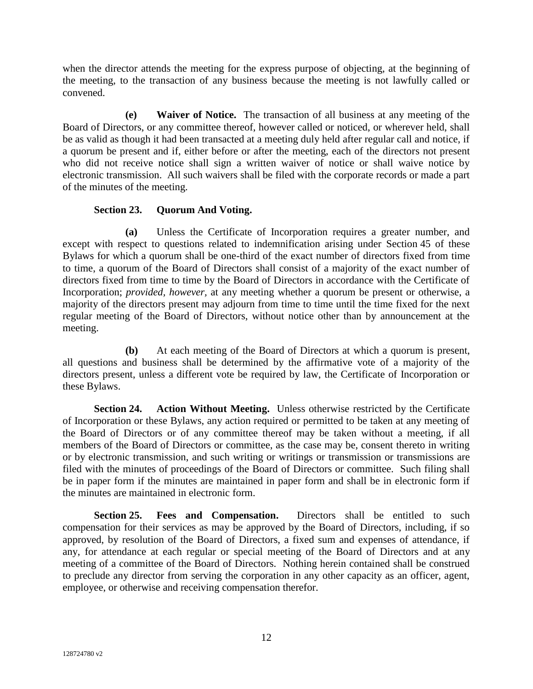when the director attends the meeting for the express purpose of objecting, at the beginning of the meeting, to the transaction of any business because the meeting is not lawfully called or convened.

**(e) Waiver of Notice.** The transaction of all business at any meeting of the Board of Directors, or any committee thereof, however called or noticed, or wherever held, shall be as valid as though it had been transacted at a meeting duly held after regular call and notice, if a quorum be present and if, either before or after the meeting, each of the directors not present who did not receive notice shall sign a written waiver of notice or shall waive notice by electronic transmission. All such waivers shall be filed with the corporate records or made a part of the minutes of the meeting.

# **Section 23. Quorum And Voting.**

**(a)** Unless the Certificate of Incorporation requires a greater number, and except with respect to questions related to indemnification arising under Section 45 of these Bylaws for which a quorum shall be one-third of the exact number of directors fixed from time to time, a quorum of the Board of Directors shall consist of a majority of the exact number of directors fixed from time to time by the Board of Directors in accordance with the Certificate of Incorporation; *provided, however,* at any meeting whether a quorum be present or otherwise, a majority of the directors present may adjourn from time to time until the time fixed for the next regular meeting of the Board of Directors, without notice other than by announcement at the meeting.

**(b)** At each meeting of the Board of Directors at which a quorum is present, all questions and business shall be determined by the affirmative vote of a majority of the directors present, unless a different vote be required by law, the Certificate of Incorporation or these Bylaws.

**Section 24. Action Without Meeting.** Unless otherwise restricted by the Certificate of Incorporation or these Bylaws, any action required or permitted to be taken at any meeting of the Board of Directors or of any committee thereof may be taken without a meeting, if all members of the Board of Directors or committee, as the case may be, consent thereto in writing or by electronic transmission, and such writing or writings or transmission or transmissions are filed with the minutes of proceedings of the Board of Directors or committee. Such filing shall be in paper form if the minutes are maintained in paper form and shall be in electronic form if the minutes are maintained in electronic form.

**Section 25. Fees and Compensation.** Directors shall be entitled to such compensation for their services as may be approved by the Board of Directors, including, if so approved, by resolution of the Board of Directors, a fixed sum and expenses of attendance, if any, for attendance at each regular or special meeting of the Board of Directors and at any meeting of a committee of the Board of Directors. Nothing herein contained shall be construed to preclude any director from serving the corporation in any other capacity as an officer, agent, employee, or otherwise and receiving compensation therefor.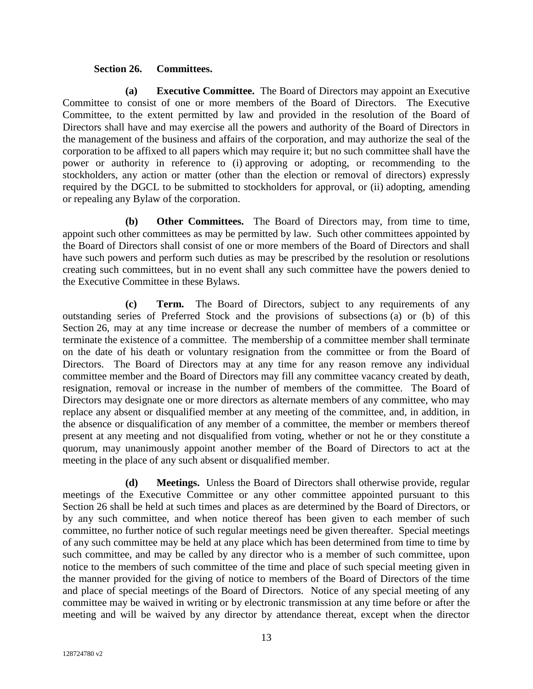### **Section 26. Committees.**

**(a) Executive Committee.** The Board of Directors may appoint an Executive Committee to consist of one or more members of the Board of Directors. The Executive Committee, to the extent permitted by law and provided in the resolution of the Board of Directors shall have and may exercise all the powers and authority of the Board of Directors in the management of the business and affairs of the corporation, and may authorize the seal of the corporation to be affixed to all papers which may require it; but no such committee shall have the power or authority in reference to (i) approving or adopting, or recommending to the stockholders, any action or matter (other than the election or removal of directors) expressly required by the DGCL to be submitted to stockholders for approval, or (ii) adopting, amending or repealing any Bylaw of the corporation.

**(b) Other Committees.** The Board of Directors may, from time to time, appoint such other committees as may be permitted by law. Such other committees appointed by the Board of Directors shall consist of one or more members of the Board of Directors and shall have such powers and perform such duties as may be prescribed by the resolution or resolutions creating such committees, but in no event shall any such committee have the powers denied to the Executive Committee in these Bylaws.

**(c) Term.** The Board of Directors, subject to any requirements of any outstanding series of Preferred Stock and the provisions of subsections (a) or (b) of this Section 26, may at any time increase or decrease the number of members of a committee or terminate the existence of a committee. The membership of a committee member shall terminate on the date of his death or voluntary resignation from the committee or from the Board of Directors. The Board of Directors may at any time for any reason remove any individual committee member and the Board of Directors may fill any committee vacancy created by death, resignation, removal or increase in the number of members of the committee. The Board of Directors may designate one or more directors as alternate members of any committee, who may replace any absent or disqualified member at any meeting of the committee, and, in addition, in the absence or disqualification of any member of a committee, the member or members thereof present at any meeting and not disqualified from voting, whether or not he or they constitute a quorum, may unanimously appoint another member of the Board of Directors to act at the meeting in the place of any such absent or disqualified member.

**(d) Meetings.** Unless the Board of Directors shall otherwise provide, regular meetings of the Executive Committee or any other committee appointed pursuant to this Section 26 shall be held at such times and places as are determined by the Board of Directors, or by any such committee, and when notice thereof has been given to each member of such committee, no further notice of such regular meetings need be given thereafter. Special meetings of any such committee may be held at any place which has been determined from time to time by such committee, and may be called by any director who is a member of such committee, upon notice to the members of such committee of the time and place of such special meeting given in the manner provided for the giving of notice to members of the Board of Directors of the time and place of special meetings of the Board of Directors. Notice of any special meeting of any committee may be waived in writing or by electronic transmission at any time before or after the meeting and will be waived by any director by attendance thereat, except when the director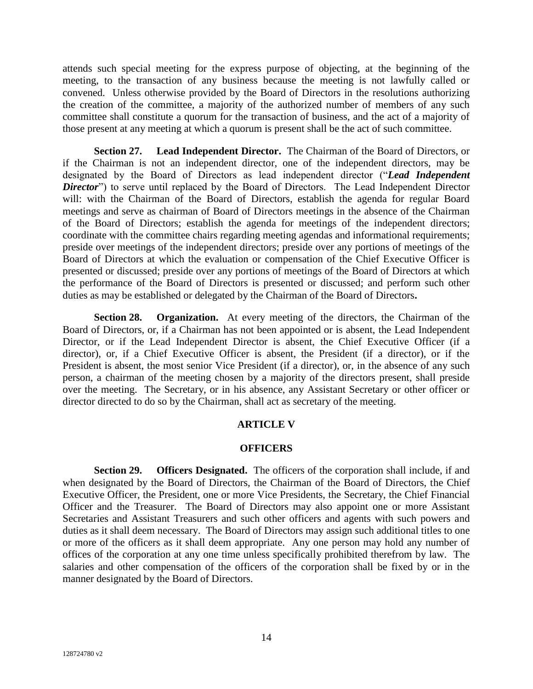attends such special meeting for the express purpose of objecting, at the beginning of the meeting, to the transaction of any business because the meeting is not lawfully called or convened. Unless otherwise provided by the Board of Directors in the resolutions authorizing the creation of the committee, a majority of the authorized number of members of any such committee shall constitute a quorum for the transaction of business, and the act of a majority of those present at any meeting at which a quorum is present shall be the act of such committee.

**Section 27. Lead Independent Director.** The Chairman of the Board of Directors, or if the Chairman is not an independent director, one of the independent directors, may be designated by the Board of Directors as lead independent director ("*Lead Independent*  **Director**") to serve until replaced by the Board of Directors. The Lead Independent Director will: with the Chairman of the Board of Directors, establish the agenda for regular Board meetings and serve as chairman of Board of Directors meetings in the absence of the Chairman of the Board of Directors; establish the agenda for meetings of the independent directors; coordinate with the committee chairs regarding meeting agendas and informational requirements; preside over meetings of the independent directors; preside over any portions of meetings of the Board of Directors at which the evaluation or compensation of the Chief Executive Officer is presented or discussed; preside over any portions of meetings of the Board of Directors at which the performance of the Board of Directors is presented or discussed; and perform such other duties as may be established or delegated by the Chairman of the Board of Directors**.**

**Section 28. Organization.** At every meeting of the directors, the Chairman of the Board of Directors, or, if a Chairman has not been appointed or is absent, the Lead Independent Director, or if the Lead Independent Director is absent, the Chief Executive Officer (if a director), or, if a Chief Executive Officer is absent, the President (if a director), or if the President is absent, the most senior Vice President (if a director), or, in the absence of any such person, a chairman of the meeting chosen by a majority of the directors present, shall preside over the meeting. The Secretary, or in his absence, any Assistant Secretary or other officer or director directed to do so by the Chairman, shall act as secretary of the meeting.

### **ARTICLE V**

### **OFFICERS**

**Section 29. Officers Designated.** The officers of the corporation shall include, if and when designated by the Board of Directors, the Chairman of the Board of Directors, the Chief Executive Officer, the President, one or more Vice Presidents, the Secretary, the Chief Financial Officer and the Treasurer. The Board of Directors may also appoint one or more Assistant Secretaries and Assistant Treasurers and such other officers and agents with such powers and duties as it shall deem necessary. The Board of Directors may assign such additional titles to one or more of the officers as it shall deem appropriate. Any one person may hold any number of offices of the corporation at any one time unless specifically prohibited therefrom by law. The salaries and other compensation of the officers of the corporation shall be fixed by or in the manner designated by the Board of Directors.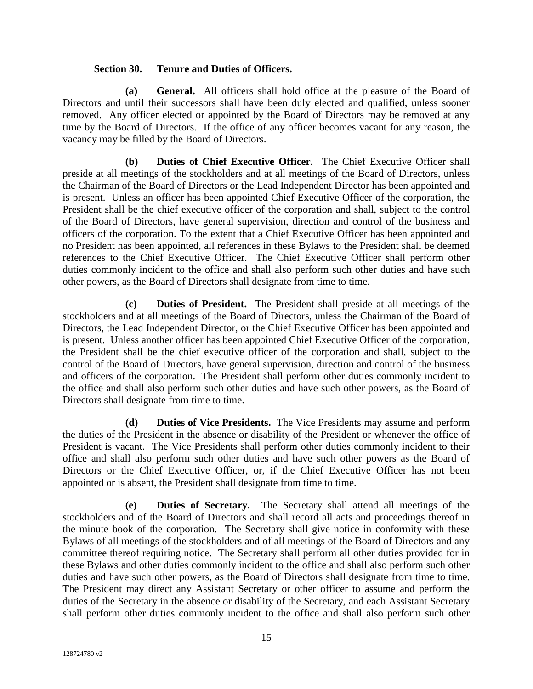### **Section 30. Tenure and Duties of Officers.**

**(a) General.** All officers shall hold office at the pleasure of the Board of Directors and until their successors shall have been duly elected and qualified, unless sooner removed. Any officer elected or appointed by the Board of Directors may be removed at any time by the Board of Directors. If the office of any officer becomes vacant for any reason, the vacancy may be filled by the Board of Directors.

**(b) Duties of Chief Executive Officer.** The Chief Executive Officer shall preside at all meetings of the stockholders and at all meetings of the Board of Directors, unless the Chairman of the Board of Directors or the Lead Independent Director has been appointed and is present. Unless an officer has been appointed Chief Executive Officer of the corporation, the President shall be the chief executive officer of the corporation and shall, subject to the control of the Board of Directors, have general supervision, direction and control of the business and officers of the corporation. To the extent that a Chief Executive Officer has been appointed and no President has been appointed, all references in these Bylaws to the President shall be deemed references to the Chief Executive Officer. The Chief Executive Officer shall perform other duties commonly incident to the office and shall also perform such other duties and have such other powers, as the Board of Directors shall designate from time to time.

**(c) Duties of President.** The President shall preside at all meetings of the stockholders and at all meetings of the Board of Directors, unless the Chairman of the Board of Directors, the Lead Independent Director, or the Chief Executive Officer has been appointed and is present. Unless another officer has been appointed Chief Executive Officer of the corporation, the President shall be the chief executive officer of the corporation and shall, subject to the control of the Board of Directors, have general supervision, direction and control of the business and officers of the corporation.The President shall perform other duties commonly incident to the office and shall also perform such other duties and have such other powers, as the Board of Directors shall designate from time to time.

**(d) Duties of Vice Presidents.** The Vice Presidents may assume and perform the duties of the President in the absence or disability of the President or whenever the office of President is vacant. The Vice Presidents shall perform other duties commonly incident to their office and shall also perform such other duties and have such other powers as the Board of Directors or the Chief Executive Officer, or, if the Chief Executive Officer has not been appointed or is absent, the President shall designate from time to time.

**(e) Duties of Secretary.** The Secretary shall attend all meetings of the stockholders and of the Board of Directors and shall record all acts and proceedings thereof in the minute book of the corporation. The Secretary shall give notice in conformity with these Bylaws of all meetings of the stockholders and of all meetings of the Board of Directors and any committee thereof requiring notice. The Secretary shall perform all other duties provided for in these Bylaws and other duties commonly incident to the office and shall also perform such other duties and have such other powers, as the Board of Directors shall designate from time to time. The President may direct any Assistant Secretary or other officer to assume and perform the duties of the Secretary in the absence or disability of the Secretary, and each Assistant Secretary shall perform other duties commonly incident to the office and shall also perform such other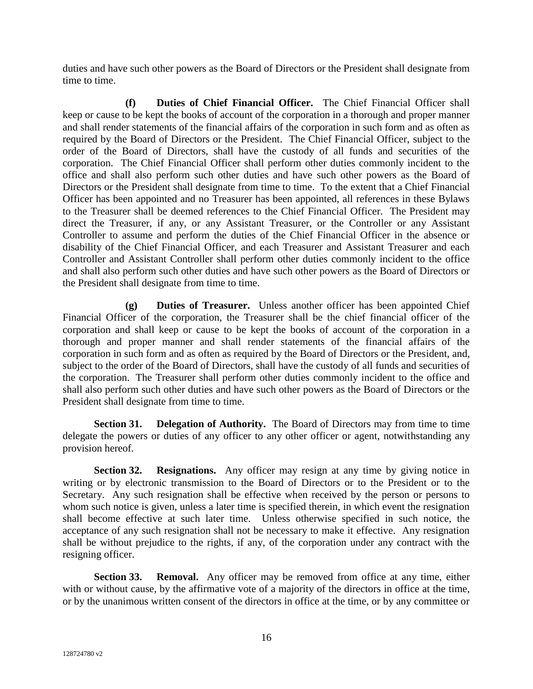duties and have such other powers as the Board of Directors or the President shall designate from time to time.

**(f) Duties of Chief Financial Officer.** The Chief Financial Officer shall keep or cause to be kept the books of account of the corporation in a thorough and proper manner and shall render statements of the financial affairs of the corporation in such form and as often as required by the Board of Directors or the President. The Chief Financial Officer, subject to the order of the Board of Directors, shall have the custody of all funds and securities of the corporation. The Chief Financial Officer shall perform other duties commonly incident to the office and shall also perform such other duties and have such other powers as the Board of Directors or the President shall designate from time to time. To the extent that a Chief Financial Officer has been appointed and no Treasurer has been appointed, all references in these Bylaws to the Treasurer shall be deemed references to the Chief Financial Officer. The President may direct the Treasurer, if any, or any Assistant Treasurer, or the Controller or any Assistant Controller to assume and perform the duties of the Chief Financial Officer in the absence or disability of the Chief Financial Officer, and each Treasurer and Assistant Treasurer and each Controller and Assistant Controller shall perform other duties commonly incident to the office and shall also perform such other duties and have such other powers as the Board of Directors or the President shall designate from time to time.

**(g) Duties of Treasurer.** Unless another officer has been appointed Chief Financial Officer of the corporation, the Treasurer shall be the chief financial officer of the corporation and shall keep or cause to be kept the books of account of the corporation in a thorough and proper manner and shall render statements of the financial affairs of the corporation in such form and as often as required by the Board of Directors or the President, and, subject to the order of the Board of Directors, shall have the custody of all funds and securities of the corporation.The Treasurer shall perform other duties commonly incident to the office and shall also perform such other duties and have such other powers as the Board of Directors or the President shall designate from time to time.

**Section 31. Delegation of Authority.** The Board of Directors may from time to time delegate the powers or duties of any officer to any other officer or agent, notwithstanding any provision hereof.

**Section 32. Resignations.** Any officer may resign at any time by giving notice in writing or by electronic transmission to the Board of Directors or to the President or to the Secretary. Any such resignation shall be effective when received by the person or persons to whom such notice is given, unless a later time is specified therein, in which event the resignation shall become effective at such later time. Unless otherwise specified in such notice, the acceptance of any such resignation shall not be necessary to make it effective. Any resignation shall be without prejudice to the rights, if any, of the corporation under any contract with the resigning officer.

**Section 33. Removal.** Any officer may be removed from office at any time, either with or without cause, by the affirmative vote of a majority of the directors in office at the time, or by the unanimous written consent of the directors in office at the time, or by any committee or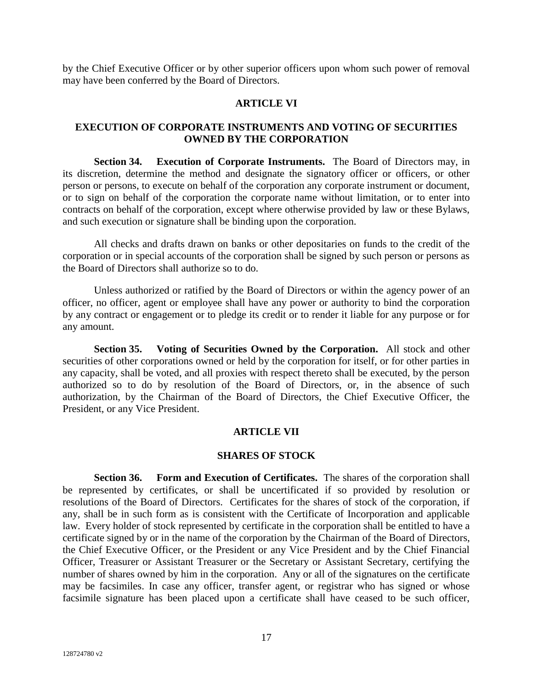by the Chief Executive Officer or by other superior officers upon whom such power of removal may have been conferred by the Board of Directors.

### **ARTICLE VI**

# **EXECUTION OF CORPORATE INSTRUMENTS AND VOTING OF SECURITIES OWNED BY THE CORPORATION**

**Section 34. Execution of Corporate Instruments.** The Board of Directors may, in its discretion, determine the method and designate the signatory officer or officers, or other person or persons, to execute on behalf of the corporation any corporate instrument or document, or to sign on behalf of the corporation the corporate name without limitation, or to enter into contracts on behalf of the corporation, except where otherwise provided by law or these Bylaws, and such execution or signature shall be binding upon the corporation.

All checks and drafts drawn on banks or other depositaries on funds to the credit of the corporation or in special accounts of the corporation shall be signed by such person or persons as the Board of Directors shall authorize so to do.

Unless authorized or ratified by the Board of Directors or within the agency power of an officer, no officer, agent or employee shall have any power or authority to bind the corporation by any contract or engagement or to pledge its credit or to render it liable for any purpose or for any amount.

**Section 35. Voting of Securities Owned by the Corporation.** All stock and other securities of other corporations owned or held by the corporation for itself, or for other parties in any capacity, shall be voted, and all proxies with respect thereto shall be executed, by the person authorized so to do by resolution of the Board of Directors, or, in the absence of such authorization, by the Chairman of the Board of Directors, the Chief Executive Officer, the President, or any Vice President.

# **ARTICLE VII**

### **SHARES OF STOCK**

**Section 36. Form and Execution of Certificates.** The shares of the corporation shall be represented by certificates, or shall be uncertificated if so provided by resolution or resolutions of the Board of Directors. Certificates for the shares of stock of the corporation, if any, shall be in such form as is consistent with the Certificate of Incorporation and applicable law. Every holder of stock represented by certificate in the corporation shall be entitled to have a certificate signed by or in the name of the corporation by the Chairman of the Board of Directors, the Chief Executive Officer, or the President or any Vice President and by the Chief Financial Officer, Treasurer or Assistant Treasurer or the Secretary or Assistant Secretary, certifying the number of shares owned by him in the corporation. Any or all of the signatures on the certificate may be facsimiles. In case any officer, transfer agent, or registrar who has signed or whose facsimile signature has been placed upon a certificate shall have ceased to be such officer,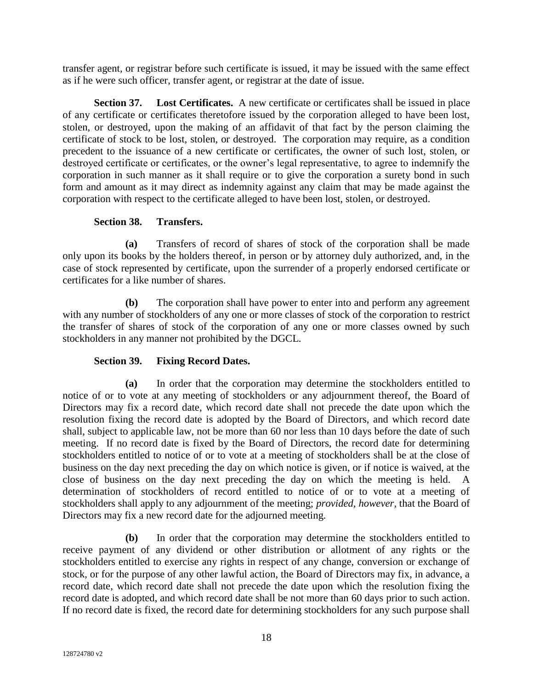transfer agent, or registrar before such certificate is issued, it may be issued with the same effect as if he were such officer, transfer agent, or registrar at the date of issue.

**Section 37. Lost Certificates.** A new certificate or certificates shall be issued in place of any certificate or certificates theretofore issued by the corporation alleged to have been lost, stolen, or destroyed, upon the making of an affidavit of that fact by the person claiming the certificate of stock to be lost, stolen, or destroyed. The corporation may require, as a condition precedent to the issuance of a new certificate or certificates, the owner of such lost, stolen, or destroyed certificate or certificates, or the owner's legal representative, to agree to indemnify the corporation in such manner as it shall require or to give the corporation a surety bond in such form and amount as it may direct as indemnity against any claim that may be made against the corporation with respect to the certificate alleged to have been lost, stolen, or destroyed.

## **Section 38. Transfers.**

**(a)** Transfers of record of shares of stock of the corporation shall be made only upon its books by the holders thereof, in person or by attorney duly authorized, and, in the case of stock represented by certificate, upon the surrender of a properly endorsed certificate or certificates for a like number of shares.

**(b)** The corporation shall have power to enter into and perform any agreement with any number of stockholders of any one or more classes of stock of the corporation to restrict the transfer of shares of stock of the corporation of any one or more classes owned by such stockholders in any manner not prohibited by the DGCL.

# **Section 39. Fixing Record Dates.**

**(a)** In order that the corporation may determine the stockholders entitled to notice of or to vote at any meeting of stockholders or any adjournment thereof, the Board of Directors may fix a record date, which record date shall not precede the date upon which the resolution fixing the record date is adopted by the Board of Directors, and which record date shall, subject to applicable law, not be more than 60 nor less than 10 days before the date of such meeting. If no record date is fixed by the Board of Directors, the record date for determining stockholders entitled to notice of or to vote at a meeting of stockholders shall be at the close of business on the day next preceding the day on which notice is given, or if notice is waived, at the close of business on the day next preceding the day on which the meeting is held. A determination of stockholders of record entitled to notice of or to vote at a meeting of stockholders shall apply to any adjournment of the meeting; *provided, however,* that the Board of Directors may fix a new record date for the adjourned meeting.

**(b)** In order that the corporation may determine the stockholders entitled to receive payment of any dividend or other distribution or allotment of any rights or the stockholders entitled to exercise any rights in respect of any change, conversion or exchange of stock, or for the purpose of any other lawful action, the Board of Directors may fix, in advance, a record date, which record date shall not precede the date upon which the resolution fixing the record date is adopted, and which record date shall be not more than 60 days prior to such action. If no record date is fixed, the record date for determining stockholders for any such purpose shall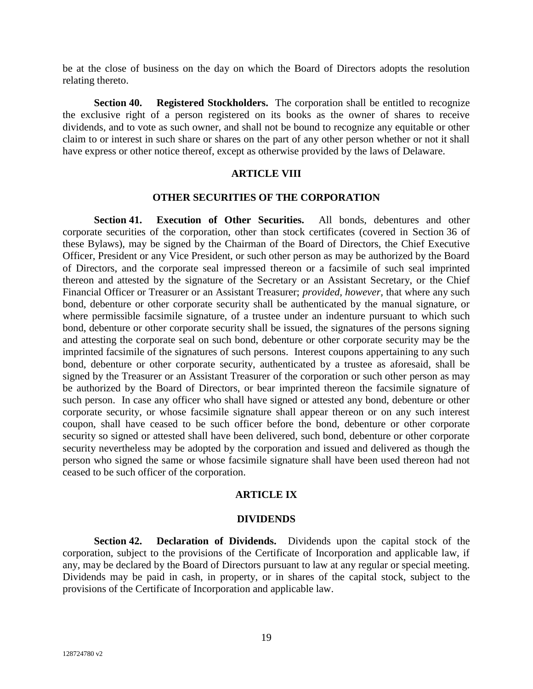be at the close of business on the day on which the Board of Directors adopts the resolution relating thereto.

**Section 40. Registered Stockholders.** The corporation shall be entitled to recognize the exclusive right of a person registered on its books as the owner of shares to receive dividends, and to vote as such owner, and shall not be bound to recognize any equitable or other claim to or interest in such share or shares on the part of any other person whether or not it shall have express or other notice thereof, except as otherwise provided by the laws of Delaware.

### **ARTICLE VIII**

### **OTHER SECURITIES OF THE CORPORATION**

**Section 41. Execution of Other Securities.** All bonds, debentures and other corporate securities of the corporation, other than stock certificates (covered in Section 36 of these Bylaws), may be signed by the Chairman of the Board of Directors, the Chief Executive Officer, President or any Vice President, or such other person as may be authorized by the Board of Directors, and the corporate seal impressed thereon or a facsimile of such seal imprinted thereon and attested by the signature of the Secretary or an Assistant Secretary, or the Chief Financial Officer or Treasurer or an Assistant Treasurer; *provided, however,* that where any such bond, debenture or other corporate security shall be authenticated by the manual signature, or where permissible facsimile signature, of a trustee under an indenture pursuant to which such bond, debenture or other corporate security shall be issued, the signatures of the persons signing and attesting the corporate seal on such bond, debenture or other corporate security may be the imprinted facsimile of the signatures of such persons. Interest coupons appertaining to any such bond, debenture or other corporate security, authenticated by a trustee as aforesaid, shall be signed by the Treasurer or an Assistant Treasurer of the corporation or such other person as may be authorized by the Board of Directors, or bear imprinted thereon the facsimile signature of such person. In case any officer who shall have signed or attested any bond, debenture or other corporate security, or whose facsimile signature shall appear thereon or on any such interest coupon, shall have ceased to be such officer before the bond, debenture or other corporate security so signed or attested shall have been delivered, such bond, debenture or other corporate security nevertheless may be adopted by the corporation and issued and delivered as though the person who signed the same or whose facsimile signature shall have been used thereon had not ceased to be such officer of the corporation.

### **ARTICLE IX**

### **DIVIDENDS**

**Section 42. Declaration of Dividends.** Dividends upon the capital stock of the corporation, subject to the provisions of the Certificate of Incorporation and applicable law, if any, may be declared by the Board of Directors pursuant to law at any regular or special meeting. Dividends may be paid in cash, in property, or in shares of the capital stock, subject to the provisions of the Certificate of Incorporation and applicable law.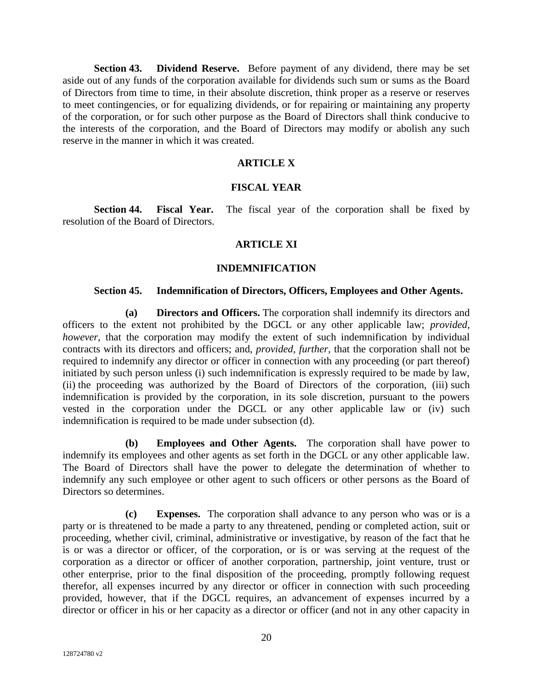**Section 43. Dividend Reserve.** Before payment of any dividend, there may be set aside out of any funds of the corporation available for dividends such sum or sums as the Board of Directors from time to time, in their absolute discretion, think proper as a reserve or reserves to meet contingencies, or for equalizing dividends, or for repairing or maintaining any property of the corporation, or for such other purpose as the Board of Directors shall think conducive to the interests of the corporation, and the Board of Directors may modify or abolish any such reserve in the manner in which it was created.

### **ARTICLE X**

### **FISCAL YEAR**

**Section 44. Fiscal Year.** The fiscal year of the corporation shall be fixed by resolution of the Board of Directors.

### **ARTICLE XI**

### **INDEMNIFICATION**

### **Section 45. Indemnification of Directors, Officers, Employees and Other Agents.**

**(a) Directors and Officers.** The corporation shall indemnify its directors and officers to the extent not prohibited by the DGCL or any other applicable law; *provided, however,* that the corporation may modify the extent of such indemnification by individual contracts with its directors and officers; and, *provided, further,* that the corporation shall not be required to indemnify any director or officer in connection with any proceeding (or part thereof) initiated by such person unless (i) such indemnification is expressly required to be made by law, (ii) the proceeding was authorized by the Board of Directors of the corporation, (iii) such indemnification is provided by the corporation, in its sole discretion, pursuant to the powers vested in the corporation under the DGCL or any other applicable law or (iv) such indemnification is required to be made under subsection (d).

**(b) Employees and Other Agents.** The corporation shall have power to indemnify its employees and other agents as set forth in the DGCL or any other applicable law. The Board of Directors shall have the power to delegate the determination of whether to indemnify any such employee or other agent to such officers or other persons as the Board of Directors so determines.

**(c) Expenses.** The corporation shall advance to any person who was or is a party or is threatened to be made a party to any threatened, pending or completed action, suit or proceeding, whether civil, criminal, administrative or investigative, by reason of the fact that he is or was a director or officer, of the corporation, or is or was serving at the request of the corporation as a director or officer of another corporation, partnership, joint venture, trust or other enterprise, prior to the final disposition of the proceeding, promptly following request therefor, all expenses incurred by any director or officer in connection with such proceeding provided, however, that if the DGCL requires, an advancement of expenses incurred by a director or officer in his or her capacity as a director or officer (and not in any other capacity in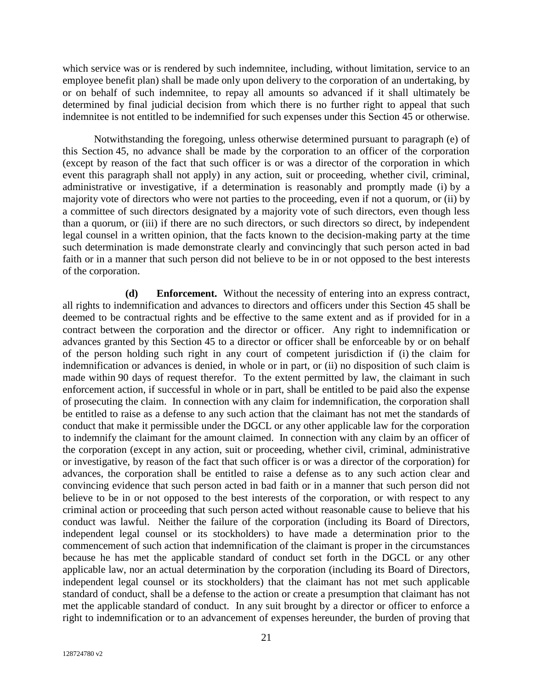which service was or is rendered by such indemnitee, including, without limitation, service to an employee benefit plan) shall be made only upon delivery to the corporation of an undertaking, by or on behalf of such indemnitee, to repay all amounts so advanced if it shall ultimately be determined by final judicial decision from which there is no further right to appeal that such indemnitee is not entitled to be indemnified for such expenses under this Section 45 or otherwise.

Notwithstanding the foregoing, unless otherwise determined pursuant to paragraph (e) of this Section 45, no advance shall be made by the corporation to an officer of the corporation (except by reason of the fact that such officer is or was a director of the corporation in which event this paragraph shall not apply) in any action, suit or proceeding, whether civil, criminal, administrative or investigative, if a determination is reasonably and promptly made (i) by a majority vote of directors who were not parties to the proceeding, even if not a quorum, or (ii) by a committee of such directors designated by a majority vote of such directors, even though less than a quorum, or (iii) if there are no such directors, or such directors so direct, by independent legal counsel in a written opinion, that the facts known to the decision-making party at the time such determination is made demonstrate clearly and convincingly that such person acted in bad faith or in a manner that such person did not believe to be in or not opposed to the best interests of the corporation.

**(d) Enforcement.** Without the necessity of entering into an express contract, all rights to indemnification and advances to directors and officers under this Section 45 shall be deemed to be contractual rights and be effective to the same extent and as if provided for in a contract between the corporation and the director or officer. Any right to indemnification or advances granted by this Section 45 to a director or officer shall be enforceable by or on behalf of the person holding such right in any court of competent jurisdiction if (i) the claim for indemnification or advances is denied, in whole or in part, or (ii) no disposition of such claim is made within 90 days of request therefor. To the extent permitted by law, the claimant in such enforcement action, if successful in whole or in part, shall be entitled to be paid also the expense of prosecuting the claim. In connection with any claim for indemnification, the corporation shall be entitled to raise as a defense to any such action that the claimant has not met the standards of conduct that make it permissible under the DGCL or any other applicable law for the corporation to indemnify the claimant for the amount claimed. In connection with any claim by an officer of the corporation (except in any action, suit or proceeding, whether civil, criminal, administrative or investigative, by reason of the fact that such officer is or was a director of the corporation) for advances, the corporation shall be entitled to raise a defense as to any such action clear and convincing evidence that such person acted in bad faith or in a manner that such person did not believe to be in or not opposed to the best interests of the corporation, or with respect to any criminal action or proceeding that such person acted without reasonable cause to believe that his conduct was lawful. Neither the failure of the corporation (including its Board of Directors, independent legal counsel or its stockholders) to have made a determination prior to the commencement of such action that indemnification of the claimant is proper in the circumstances because he has met the applicable standard of conduct set forth in the DGCL or any other applicable law, nor an actual determination by the corporation (including its Board of Directors, independent legal counsel or its stockholders) that the claimant has not met such applicable standard of conduct, shall be a defense to the action or create a presumption that claimant has not met the applicable standard of conduct. In any suit brought by a director or officer to enforce a right to indemnification or to an advancement of expenses hereunder, the burden of proving that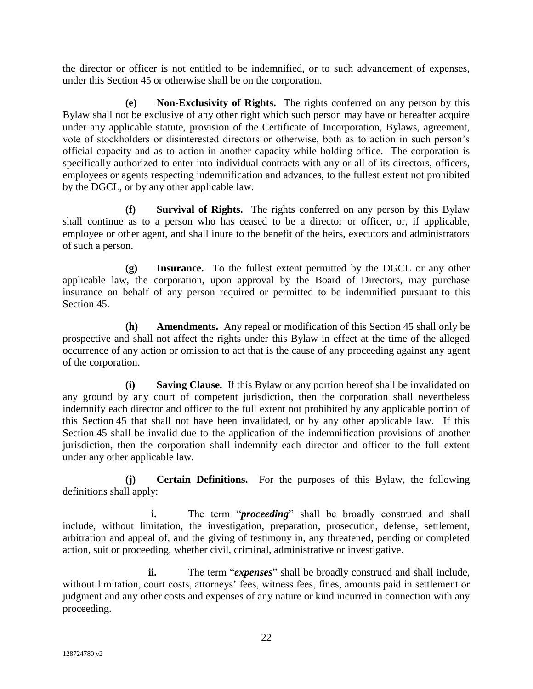the director or officer is not entitled to be indemnified, or to such advancement of expenses, under this Section 45 or otherwise shall be on the corporation.

**(e) Non-Exclusivity of Rights.** The rights conferred on any person by this Bylaw shall not be exclusive of any other right which such person may have or hereafter acquire under any applicable statute, provision of the Certificate of Incorporation, Bylaws, agreement, vote of stockholders or disinterested directors or otherwise, both as to action in such person's official capacity and as to action in another capacity while holding office. The corporation is specifically authorized to enter into individual contracts with any or all of its directors, officers, employees or agents respecting indemnification and advances, to the fullest extent not prohibited by the DGCL, or by any other applicable law.

**(f) Survival of Rights.** The rights conferred on any person by this Bylaw shall continue as to a person who has ceased to be a director or officer, or, if applicable, employee or other agent, and shall inure to the benefit of the heirs, executors and administrators of such a person.

**(g) Insurance.** To the fullest extent permitted by the DGCL or any other applicable law, the corporation, upon approval by the Board of Directors, may purchase insurance on behalf of any person required or permitted to be indemnified pursuant to this Section 45.

**(h) Amendments.** Any repeal or modification of this Section 45 shall only be prospective and shall not affect the rights under this Bylaw in effect at the time of the alleged occurrence of any action or omission to act that is the cause of any proceeding against any agent of the corporation.

**(i) Saving Clause.** If this Bylaw or any portion hereof shall be invalidated on any ground by any court of competent jurisdiction, then the corporation shall nevertheless indemnify each director and officer to the full extent not prohibited by any applicable portion of this Section 45 that shall not have been invalidated, or by any other applicable law. If this Section 45 shall be invalid due to the application of the indemnification provisions of another jurisdiction, then the corporation shall indemnify each director and officer to the full extent under any other applicable law.

**(j) Certain Definitions.** For the purposes of this Bylaw, the following definitions shall apply:

**i.** The term "**proceeding**" shall be broadly construed and shall include, without limitation, the investigation, preparation, prosecution, defense, settlement, arbitration and appeal of, and the giving of testimony in, any threatened, pending or completed action, suit or proceeding, whether civil, criminal, administrative or investigative.

**ii.** The term "*expenses*" shall be broadly construed and shall include, without limitation, court costs, attorneys' fees, witness fees, fines, amounts paid in settlement or judgment and any other costs and expenses of any nature or kind incurred in connection with any proceeding.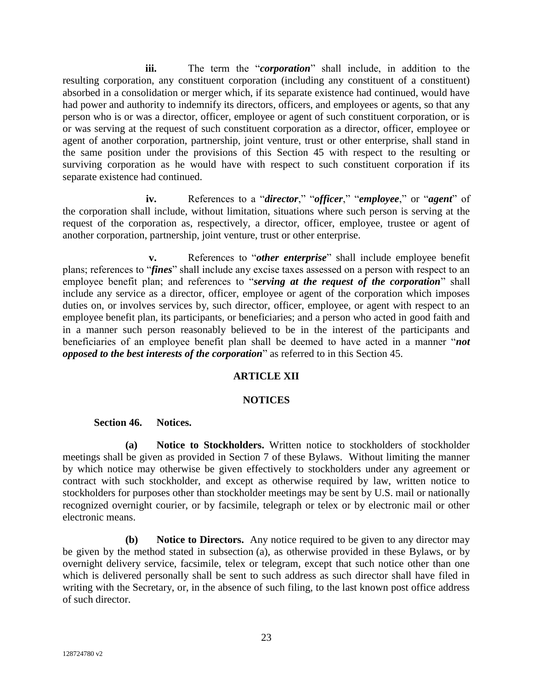**iii.** The term the "*corporation*" shall include, in addition to the resulting corporation, any constituent corporation (including any constituent of a constituent) absorbed in a consolidation or merger which, if its separate existence had continued, would have had power and authority to indemnify its directors, officers, and employees or agents, so that any person who is or was a director, officer, employee or agent of such constituent corporation, or is or was serving at the request of such constituent corporation as a director, officer, employee or agent of another corporation, partnership, joint venture, trust or other enterprise, shall stand in the same position under the provisions of this Section 45 with respect to the resulting or surviving corporation as he would have with respect to such constituent corporation if its separate existence had continued.

**iv.** References to a "*director*," "*officer*," "*employee*," or "*agent*" of the corporation shall include, without limitation, situations where such person is serving at the request of the corporation as, respectively, a director, officer, employee, trustee or agent of another corporation, partnership, joint venture, trust or other enterprise.

**v.** References to "*other enterprise*" shall include employee benefit plans; references to "*fines*" shall include any excise taxes assessed on a person with respect to an employee benefit plan; and references to "*serving at the request of the corporation*" shall include any service as a director, officer, employee or agent of the corporation which imposes duties on, or involves services by, such director, officer, employee, or agent with respect to an employee benefit plan, its participants, or beneficiaries; and a person who acted in good faith and in a manner such person reasonably believed to be in the interest of the participants and beneficiaries of an employee benefit plan shall be deemed to have acted in a manner "*not opposed to the best interests of the corporation*" as referred to in this Section 45.

# **ARTICLE XII**

### **NOTICES**

### **Section 46. Notices.**

**(a) Notice to Stockholders.** Written notice to stockholders of stockholder meetings shall be given as provided in Section 7 of these Bylaws. Without limiting the manner by which notice may otherwise be given effectively to stockholders under any agreement or contract with such stockholder, and except as otherwise required by law, written notice to stockholders for purposes other than stockholder meetings may be sent by U.S. mail or nationally recognized overnight courier, or by facsimile, telegraph or telex or by electronic mail or other electronic means.

**(b) Notice to Directors.** Any notice required to be given to any director may be given by the method stated in subsection (a), as otherwise provided in these Bylaws, or by overnight delivery service, facsimile, telex or telegram, except that such notice other than one which is delivered personally shall be sent to such address as such director shall have filed in writing with the Secretary, or, in the absence of such filing, to the last known post office address of such director.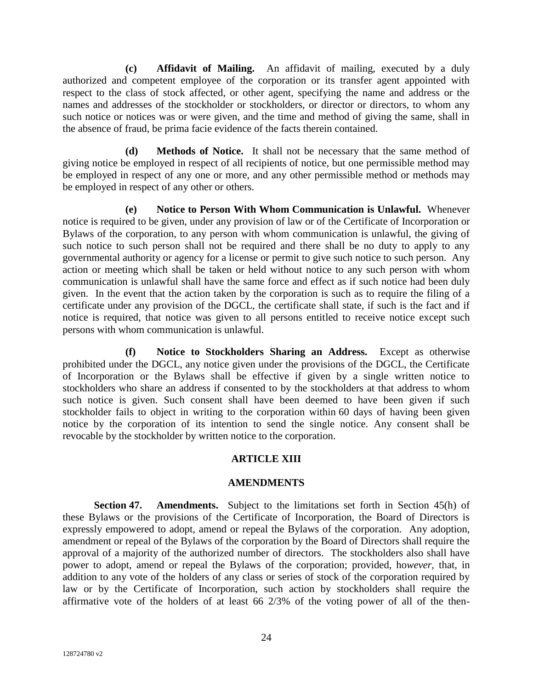**(c) Affidavit of Mailing.** An affidavit of mailing, executed by a duly authorized and competent employee of the corporation or its transfer agent appointed with respect to the class of stock affected, or other agent, specifying the name and address or the names and addresses of the stockholder or stockholders, or director or directors, to whom any such notice or notices was or were given, and the time and method of giving the same, shall in the absence of fraud, be prima facie evidence of the facts therein contained.

**(d) Methods of Notice.** It shall not be necessary that the same method of giving notice be employed in respect of all recipients of notice, but one permissible method may be employed in respect of any one or more, and any other permissible method or methods may be employed in respect of any other or others.

**(e) Notice to Person With Whom Communication is Unlawful.** Whenever notice is required to be given, under any provision of law or of the Certificate of Incorporation or Bylaws of the corporation, to any person with whom communication is unlawful, the giving of such notice to such person shall not be required and there shall be no duty to apply to any governmental authority or agency for a license or permit to give such notice to such person. Any action or meeting which shall be taken or held without notice to any such person with whom communication is unlawful shall have the same force and effect as if such notice had been duly given. In the event that the action taken by the corporation is such as to require the filing of a certificate under any provision of the DGCL, the certificate shall state, if such is the fact and if notice is required, that notice was given to all persons entitled to receive notice except such persons with whom communication is unlawful.

**(f) Notice to Stockholders Sharing an Address.** Except as otherwise prohibited under the DGCL, any notice given under the provisions of the DGCL, the Certificate of Incorporation or the Bylaws shall be effective if given by a single written notice to stockholders who share an address if consented to by the stockholders at that address to whom such notice is given. Such consent shall have been deemed to have been given if such stockholder fails to object in writing to the corporation within 60 days of having been given notice by the corporation of its intention to send the single notice. Any consent shall be revocable by the stockholder by written notice to the corporation.

# **ARTICLE XIII**

### **AMENDMENTS**

**Section 47. Amendments.** Subject to the limitations set forth in Section 45(h) of these Bylaws or the provisions of the Certificate of Incorporation, the Board of Directors is expressly empowered to adopt, amend or repeal the Bylaws of the corporation. Any adoption, amendment or repeal of the Bylaws of the corporation by the Board of Directors shall require the approval of a majority of the authorized number of directors. The stockholders also shall have power to adopt, amend or repeal the Bylaws of the corporation; provided, ho*wever,* that, in addition to any vote of the holders of any class or series of stock of the corporation required by law or by the Certificate of Incorporation, such action by stockholders shall require the affirmative vote of the holders of at least 66 2/3% of the voting power of all of the then